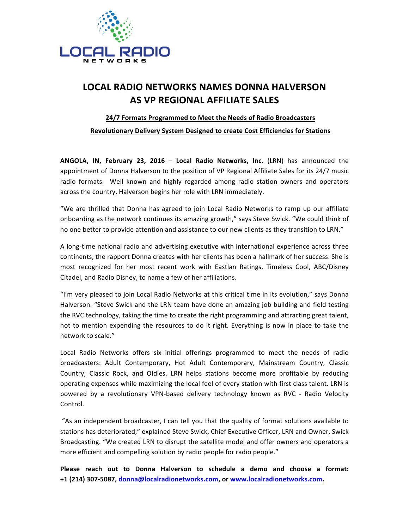

## **LOCAL RADIO NETWORKS NAMES DONNA HALVERSON AS VP REGIONAL AFFILIATE SALES**

## **24/7 Formats Programmed to Meet the Needs of Radio Broadcasters**

**Revolutionary Delivery System Designed to create Cost Efficiencies for Stations** 

**ANGOLA, IN, February 23, 2016 – Local Radio Networks, Inc. (LRN) has announced the** appointment of Donna Halverson to the position of VP Regional Affiliate Sales for its 24/7 music radio formats. Well known and highly regarded among radio station owners and operators across the country, Halverson begins her role with LRN immediately.

"We are thrilled that Donna has agreed to join Local Radio Networks to ramp up our affiliate onboarding as the network continues its amazing growth," says Steve Swick. "We could think of no one better to provide attention and assistance to our new clients as they transition to LRN."

A long-time national radio and advertising executive with international experience across three continents, the rapport Donna creates with her clients has been a hallmark of her success. She is most recognized for her most recent work with Eastlan Ratings, Timeless Cool, ABC/Disney Citadel, and Radio Disney, to name a few of her affiliations.

"I'm very pleased to join Local Radio Networks at this critical time in its evolution," says Donna Halverson. "Steve Swick and the LRN team have done an amazing job building and field testing the RVC technology, taking the time to create the right programming and attracting great talent, not to mention expending the resources to do it right. Everything is now in place to take the network to scale."

Local Radio Networks offers six initial offerings programmed to meet the needs of radio broadcasters: Adult Contemporary, Hot Adult Contemporary, Mainstream Country, Classic Country, Classic Rock, and Oldies. LRN helps stations become more profitable by reducing operating expenses while maximizing the local feel of every station with first class talent. LRN is powered by a revolutionary VPN-based delivery technology known as RVC - Radio Velocity Control. 

"As an independent broadcaster, I can tell you that the quality of format solutions available to stations has deteriorated," explained Steve Swick, Chief Executive Officer, LRN and Owner, Swick Broadcasting. "We created LRN to disrupt the satellite model and offer owners and operators a more efficient and compelling solution by radio people for radio people."

**Please reach out to Donna Halverson to schedule a demo and choose a format: +1 (214) 307-5087, donna@localradionetworks.com, or www.localradionetworks.com.**